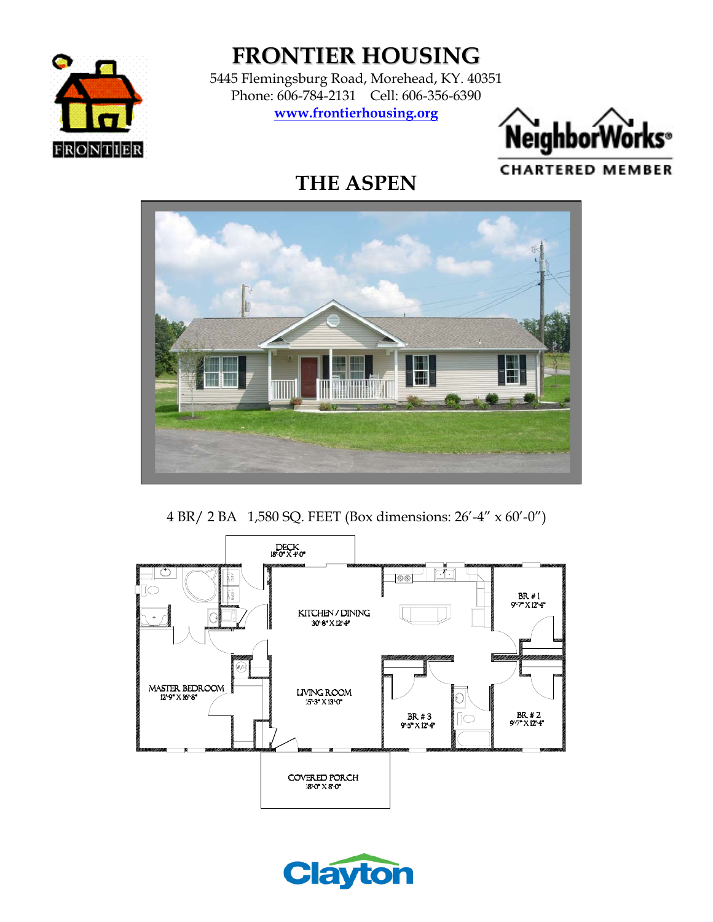

**FRONTIER HOUSING**

5445 Flemingsburg Road, Morehead, KY. 40351 Phone: 606-784-2131 Cell: 606-356-6390 **www.frontierhousing.org**



# **THE ASPEN**



4 BR/ 2 BA 1,580 SQ. FEET (Box dimensions: 26'-4" x 60'-0")